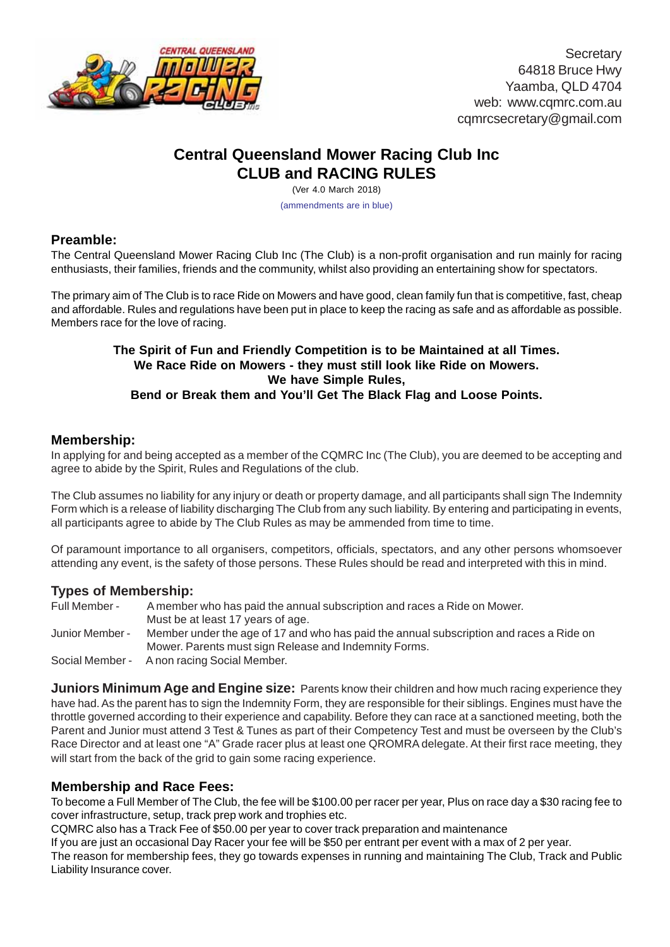

**Secretary** 64818 Bruce Hwy Yaamba, QLD 4704 web: www.cqmrc.com.au cqmrcsecretary@gmail.com

# **Central Queensland Mower Racing Club Inc CLUB and RACING RULES**

(Ver 4.0 March 2018)

(ammendments are in blue)

## **Preamble:**

The Central Queensland Mower Racing Club Inc (The Club) is a non-profit organisation and run mainly for racing enthusiasts, their families, friends and the community, whilst also providing an entertaining show for spectators.

The primary aim of The Club is to race Ride on Mowers and have good, clean family fun that is competitive, fast, cheap and affordable. Rules and regulations have been put in place to keep the racing as safe and as affordable as possible. Members race for the love of racing.

#### **The Spirit of Fun and Friendly Competition is to be Maintained at all Times. We Race Ride on Mowers - they must still look like Ride on Mowers. We have Simple Rules, Bend or Break them and You'll Get The Black Flag and Loose Points.**

## **Membership:**

In applying for and being accepted as a member of the CQMRC Inc (The Club), you are deemed to be accepting and agree to abide by the Spirit, Rules and Regulations of the club.

The Club assumes no liability for any injury or death or property damage, and all participants shall sign The Indemnity Form which is a release of liability discharging The Club from any such liability. By entering and participating in events, all participants agree to abide by The Club Rules as may be ammended from time to time.

Of paramount importance to all organisers, competitors, officials, spectators, and any other persons whomsoever attending any event, is the safety of those persons. These Rules should be read and interpreted with this in mind.

#### **Types of Membership:**

Full Member - A member who has paid the annual subscription and races a Ride on Mower. Must be at least 17 years of age. Junior Member - Member under the age of 17 and who has paid the annual subscription and races a Ride on Mower. Parents must sign Release and Indemnity Forms. Social Member - A non racing Social Member.

**Juniors Minimum Age and Engine size:** Parents know their children and how much racing experience they have had. As the parent has to sign the Indemnity Form, they are responsible for their siblings. Engines must have the throttle governed according to their experience and capability. Before they can race at a sanctioned meeting, both the Parent and Junior must attend 3 Test & Tunes as part of their Competency Test and must be overseen by the Club's Race Director and at least one "A" Grade racer plus at least one QROMRA delegate. At their first race meeting, they will start from the back of the grid to gain some racing experience.

# **Membership and Race Fees:**

To become a Full Member of The Club, the fee will be \$100.00 per racer per year, Plus on race day a \$30 racing fee to cover infrastructure, setup, track prep work and trophies etc.

CQMRC also has a Track Fee of \$50.00 per year to cover track preparation and maintenance

If you are just an occasional Day Racer your fee will be \$50 per entrant per event with a max of 2 per year. The reason for membership fees, they go towards expenses in running and maintaining The Club, Track and Public Liability Insurance cover.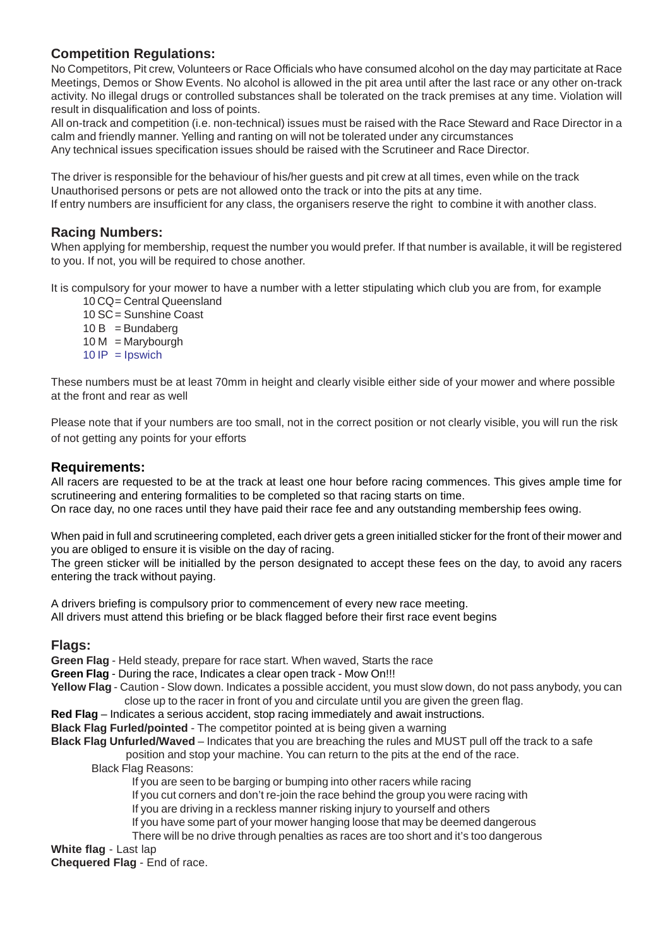# **Competition Regulations:**

No Competitors, Pit crew, Volunteers or Race Officials who have consumed alcohol on the day may particitate at Race Meetings, Demos or Show Events. No alcohol is allowed in the pit area until after the last race or any other on-track activity. No illegal drugs or controlled substances shall be tolerated on the track premises at any time. Violation will result in disqualification and loss of points.

All on-track and competition (i.e. non-technical) issues must be raised with the Race Steward and Race Director in a calm and friendly manner. Yelling and ranting on will not be tolerated under any circumstances

Any technical issues specification issues should be raised with the Scrutineer and Race Director.

The driver is responsible for the behaviour of his/her guests and pit crew at all times, even while on the track Unauthorised persons or pets are not allowed onto the track or into the pits at any time.

If entry numbers are insufficient for any class, the organisers reserve the right to combine it with another class.

#### **Racing Numbers:**

When applying for membership, request the number you would prefer. If that number is available, it will be registered to you. If not, you will be required to chose another.

It is compulsory for your mower to have a number with a letter stipulating which club you are from, for example

10 CQ= Central Queensland 10 SC= Sunshine Coast  $10 B =$ Bundaberg  $10 M$  = Marybourgh

 $10$  IP = Ipswich

These numbers must be at least 70mm in height and clearly visible either side of your mower and where possible at the front and rear as well

Please note that if your numbers are too small, not in the correct position or not clearly visible, you will run the risk of not getting any points for your efforts

#### **Requirements:**

All racers are requested to be at the track at least one hour before racing commences. This gives ample time for scrutineering and entering formalities to be completed so that racing starts on time.

On race day, no one races until they have paid their race fee and any outstanding membership fees owing.

When paid in full and scrutineering completed, each driver gets a green initialled sticker for the front of their mower and you are obliged to ensure it is visible on the day of racing.

The green sticker will be initialled by the person designated to accept these fees on the day, to avoid any racers entering the track without paying.

A drivers briefing is compulsory prior to commencement of every new race meeting. All drivers must attend this briefing or be black flagged before their first race event begins

#### **Flags:**

**Green Flag** - Held steady, prepare for race start. When waved, Starts the race

**Green Flag** - During the race, Indicates a clear open track - Mow On!!!

**Yellow Flag** - Caution - Slow down. Indicates a possible accident, you must slow down, do not pass anybody, you can close up to the racer in front of you and circulate until you are given the green flag.

**Red Flag** – Indicates a serious accident, stop racing immediately and await instructions.

**Black Flag Furled/pointed** - The competitor pointed at is being given a warning

**Black Flag Unfurled/Waved** – Indicates that you are breaching the rules and MUST pull off the track to a safe position and stop your machine. You can return to the pits at the end of the race.

Black Flag Reasons:

If you are seen to be barging or bumping into other racers while racing

If you cut corners and don't re-join the race behind the group you were racing with

If you are driving in a reckless manner risking injury to yourself and others

If you have some part of your mower hanging loose that may be deemed dangerous

There will be no drive through penalties as races are too short and it's too dangerous

## **White flag** - Last lap

**Chequered Flag** - End of race.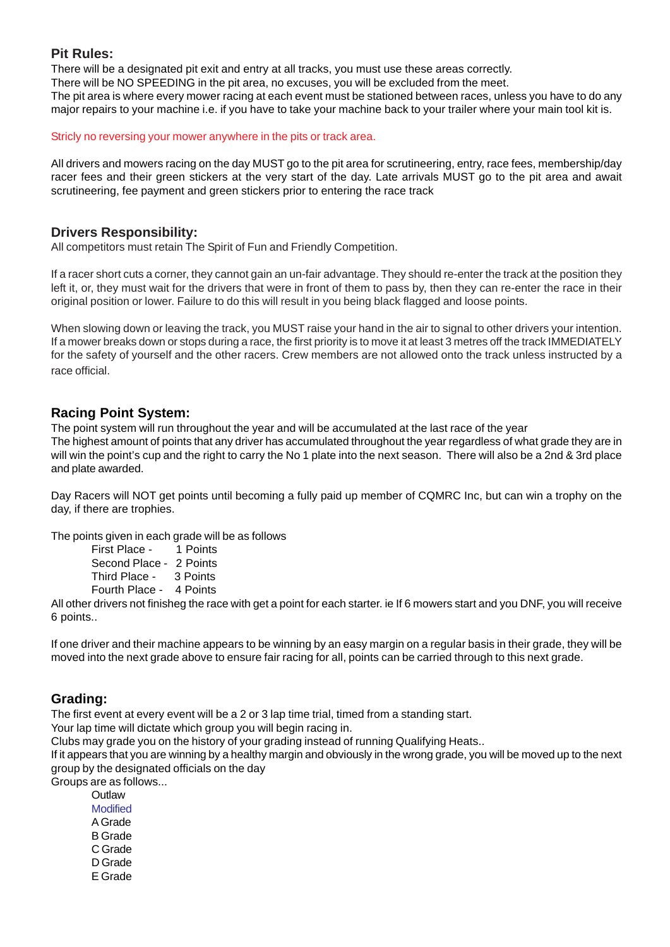## **Pit Rules:**

There will be a designated pit exit and entry at all tracks, you must use these areas correctly.

There will be NO SPEEDING in the pit area, no excuses, you will be excluded from the meet.

The pit area is where every mower racing at each event must be stationed between races, unless you have to do any major repairs to your machine i.e. if you have to take your machine back to your trailer where your main tool kit is.

#### Stricly no reversing your mower anywhere in the pits or track area.

All drivers and mowers racing on the day MUST go to the pit area for scrutineering, entry, race fees, membership/day racer fees and their green stickers at the very start of the day. Late arrivals MUST go to the pit area and await scrutineering, fee payment and green stickers prior to entering the race track

# **Drivers Responsibility:**

All competitors must retain The Spirit of Fun and Friendly Competition.

If a racer short cuts a corner, they cannot gain an un-fair advantage. They should re-enter the track at the position they left it, or, they must wait for the drivers that were in front of them to pass by, then they can re-enter the race in their original position or lower. Failure to do this will result in you being black flagged and loose points.

When slowing down or leaving the track, you MUST raise your hand in the air to signal to other drivers your intention. If a mower breaks down or stops during a race, the first priority is to move it at least 3 metres off the track IMMEDIATELY for the safety of yourself and the other racers. Crew members are not allowed onto the track unless instructed by a race official.

## **Racing Point System:**

The point system will run throughout the year and will be accumulated at the last race of the year The highest amount of points that any driver has accumulated throughout the year regardless of what grade they are in will win the point's cup and the right to carry the No 1 plate into the next season. There will also be a 2nd & 3rd place and plate awarded.

Day Racers will NOT get points until becoming a fully paid up member of CQMRC Inc, but can win a trophy on the day, if there are trophies.

The points given in each grade will be as follows

First Place - 1 Points Second Place - 2 Points Third Place - 3 Points Fourth Place - 4 Points

All other drivers not finisheg the race with get a point for each starter. ie If 6 mowers start and you DNF, you will receive 6 points..

If one driver and their machine appears to be winning by an easy margin on a regular basis in their grade, they will be moved into the next grade above to ensure fair racing for all, points can be carried through to this next grade.

# **Grading:**

The first event at every event will be a 2 or 3 lap time trial, timed from a standing start.

Your lap time will dictate which group you will begin racing in.

Clubs may grade you on the history of your grading instead of running Qualifying Heats..

If it appears that you are winning by a healthy margin and obviously in the wrong grade, you will be moved up to the next group by the designated officials on the day

Groups are as follows...

**Outlaw** Modified A Grade B Grade C Grade D Grade E Grade